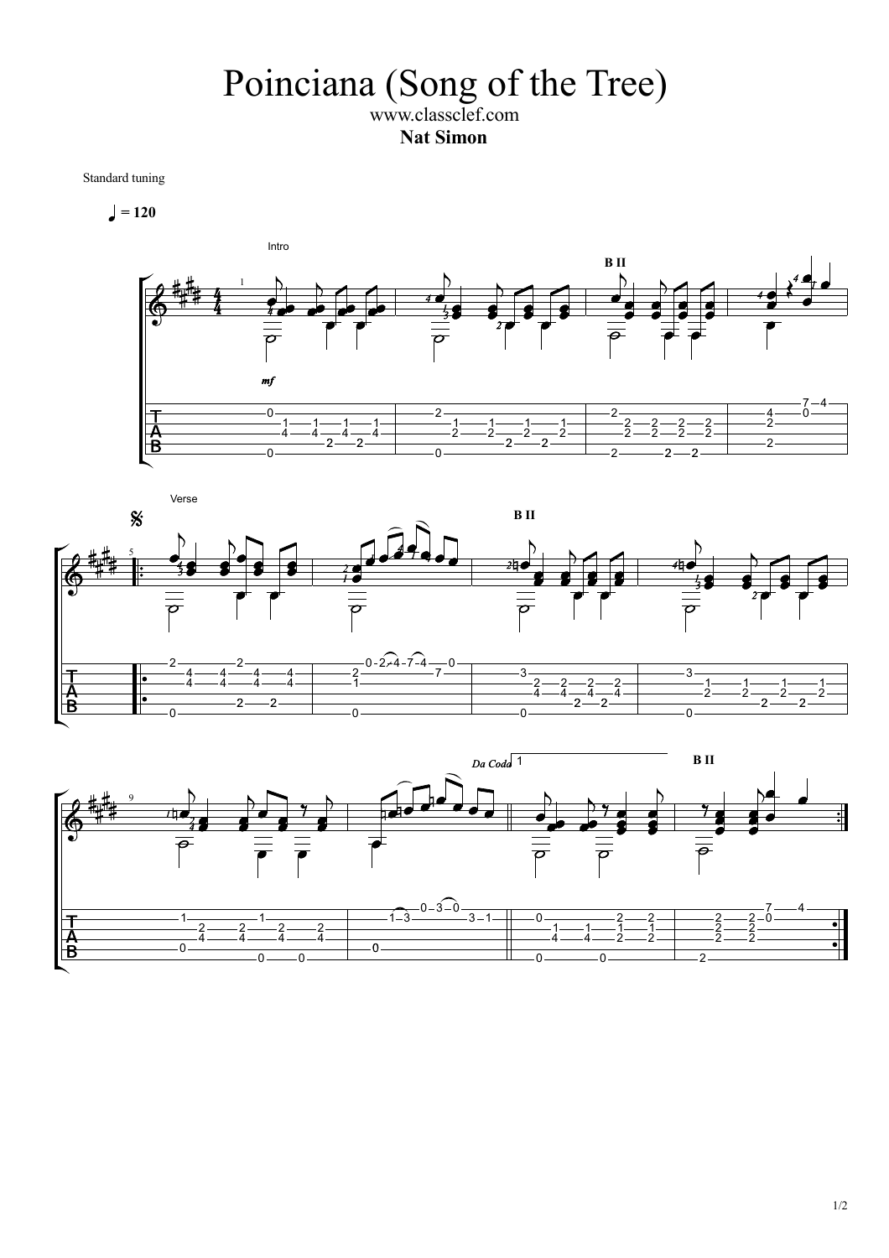## Poinciana (Song of the Tree) www.classclef.com

**Nat Simon**

Standard tuning

 $= 120$